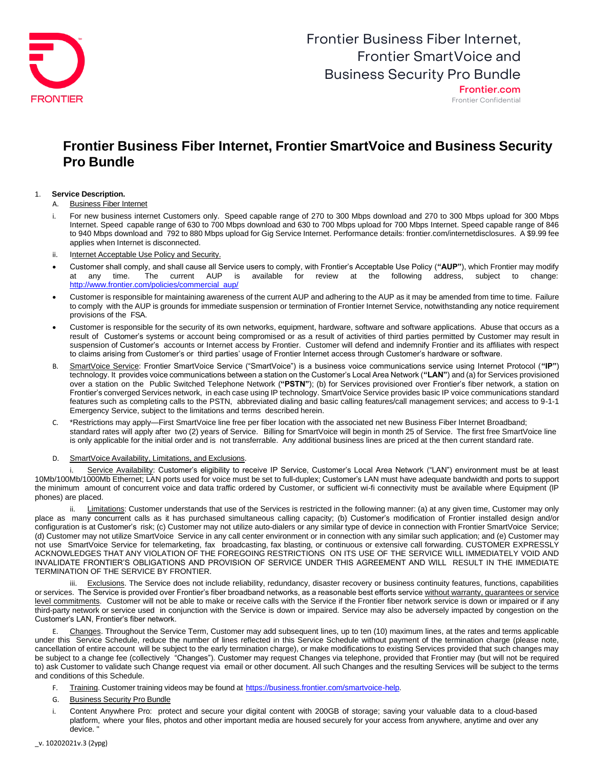

Frontier Confidential

### **Frontier Business Fiber Internet, Frontier SmartVoice and Business Security Pro Bundle**

### 1. **Service Description.**

A. Business Fiber Internet

- i. For new business internet Customers only. Speed capable range of 270 to 300 Mbps download and 270 to 300 Mbps upload for 300 Mbps Internet. Speed capable range of 630 to 700 Mbps download and 630 to 700 Mbps upload for 700 Mbps Internet. Speed capable range of 846 to 940 Mbps download and 792 to 880 Mbps upload for Gig Service Internet. Performance details: frontier.com/internetdisclosures. A \$9.99 fee applies when Internet is disconnected.
- ii. Internet Acceptable Use Policy and Security.
- Customer shall comply, and shall cause all Service users to comply, with Frontier's Acceptable Use Policy (**"AUP"**), which Frontier may modify at any time. The current AUP is available for review at the following address, subject to change: [http://www.frontier.com/policies/commercial\\_aup/](http://www.frontier.com/policies/commercial_aup/)
- Customer is responsible for maintaining awareness of the current AUP and adhering to the AUP as it may be amended from time to time. Failure to comply with the AUP is grounds for immediate suspension or termination of Frontier Internet Service, notwithstanding any notice requirement provisions of the FSA.
- Customer is responsible for the security of its own networks, equipment, hardware, software and software applications. Abuse that occurs as a result of Customer's systems or account being compromised or as a result of activities of third parties permitted by Customer may result in suspension of Customer's accounts or Internet access by Frontier. Customer will defend and indemnify Frontier and its affiliates with respect to claims arising from Customer's or third parties' usage of Frontier Internet access through Customer's hardware or software.
- B. SmartVoice Service: Frontier SmartVoice Service ("SmartVoice") is a business voice communications service using Internet Protocol (**"IP"**) technology. It provides voice communications between a station on the Customer's Local Area Network (**"LAN"**) and (a) for Services provisioned over a station on the Public Switched Telephone Network (**"PSTN"**); (b) for Services provisioned over Frontier's fiber network, a station on Frontier's converged Services network, in each case using IP technology. SmartVoice Service provides basic IP voice communications standard features such as completing calls to the PSTN, abbreviated dialing and basic calling features/call management services; and access to 9-1-1 Emergency Service, subject to the limitations and terms described herein.
- C. \*Restrictions may apply—First SmartVoice line free per fiber location with the associated net new Business Fiber Internet Broadband; standard rates will apply after two (2) years of Service. Billing for SmartVoice will begin in month 25 of Service. The first free SmartVoice line is only applicable for the initial order and is not transferrable. Any additional business lines are priced at the then current standard rate.

D. SmartVoice Availability, Limitations, and Exclusions.

Service Availability: Customer's eligibility to receive IP Service, Customer's Local Area Network ("LAN") environment must be at least 10Mb/100Mb/1000Mb Ethernet; LAN ports used for voice must be set to full-duplex; Customer's LAN must have adequate bandwidth and ports to support the minimum amount of concurrent voice and data traffic ordered by Customer, or sufficient wi-fi connectivity must be available where Equipment (IP phones) are placed.

Limitations: Customer understands that use of the Services is restricted in the following manner: (a) at any given time, Customer may only place as many concurrent calls as it has purchased simultaneous calling capacity; (b) Customer's modification of Frontier installed design and/or configuration is at Customer's risk; (c) Customer may not utilize auto-dialers or any similar type of device in connection with Frontier SmartVoice Service; (d) Customer may not utilize SmartVoice Service in any call center environment or in connection with any similar such application; and (e) Customer may not use SmartVoice Service for telemarketing, fax broadcasting, fax blasting, or continuous or extensive call forwarding. CUSTOMER EXPRESSLY ACKNOWLEDGES THAT ANY VIOLATION OF THE FOREGOING RESTRICTIONS ON ITS USE OF THE SERVICE WILL IMMEDIATELY VOID AND INVALIDATE FRONTIER'S OBLIGATIONS AND PROVISION OF SERVICE UNDER THIS AGREEMENT AND WILL RESULT IN THE IMMEDIATE TERMINATION OF THE SERVICE BY FRONTIER.

iii. Exclusions. The Service does not include reliability, redundancy, disaster recovery or business continuity features, functions, capabilities or services. The Service is provided over Frontier's fiber broadband networks, as a reasonable best efforts service without warranty, guarantees or service level commitments. Customer will not be able to make or receive calls with the Service if the Frontier fiber network service is down or impaired or if any third-party network or service used in conjunction with the Service is down or impaired. Service may also be adversely impacted by congestion on the Customer's LAN, Frontier's fiber network.

Changes. Throughout the Service Term, Customer may add subsequent lines, up to ten (10) maximum lines, at the rates and terms applicable under this Service Schedule, reduce the number of lines reflected in this Service Schedule without payment of the termination charge (please note, cancellation of entire account will be subject to the early termination charge), or make modifications to existing Services provided that such changes may be subject to a change fee (collectively "Changes"). Customer may request Changes via telephone, provided that Frontier may (but will not be required to) ask Customer to validate such Change request via email or other document. All such Changes and the resulting Services will be subject to the terms and conditions of this Schedule.

- F. Training. Customer training videos may be found at [https://business.frontier.com/smartvoice-help.](https://business.frontier.com/smartvoice-help)
- G. Business Security Pro Bundle
- i. Content Anywhere Pro: protect and secure your digital content with 200GB of storage; saving your valuable data to a cloud-based platform, where your files, photos and other important media are housed securely for your access from anywhere, anytime and over any device.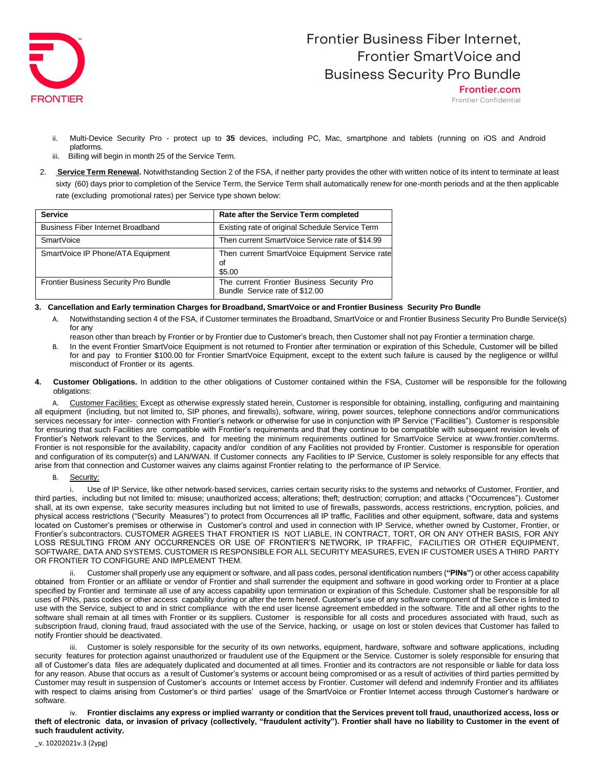

Frontier.com Frontier Confidential

- ii. Multi-Device Security Pro protect up to **35** devices, including PC, Mac, smartphone and tablets (running on iOS and Android platforms.
- iii. Billing will begin in month 25 of the Service Term.
- 2. **Service Term Renewal.** Notwithstanding Section 2 of the FSA, if neither party provides the other with written notice of its intent to terminate at least sixty (60) days prior to completion of the Service Term, the Service Term shall automatically renew for one-month periods and at the then applicable rate (excluding promotional rates) per Service type shown below:

| <b>Service</b>                               | Rate after the Service Term completed                                        |
|----------------------------------------------|------------------------------------------------------------------------------|
| <b>Business Fiber Internet Broadband</b>     | Existing rate of original Schedule Service Term                              |
| SmartVoice                                   | Then current SmartVoice Service rate of \$14.99                              |
| SmartVoice IP Phone/ATA Equipment            | Then current SmartVoice Equipment Service rate<br>Οf<br>\$5.00               |
| <b>Frontier Business Security Pro Bundle</b> | The current Frontier Business Security Pro<br>Bundle Service rate of \$12.00 |

### 3. Cancellation and Early termination Charges for Broadband, SmartVoice or and Frontier Business Security Pro Bundle

- A. Notwithstanding section 4 of the FSA, if Customer terminates the Broadband, SmartVoice or and Frontier Business Security Pro Bundle Service(s) for any
	- reason other than breach by Frontier or by Frontier due to Customer's breach, then Customer shall not pay Frontier a termination charge.
- B. In the event Frontier SmartVoice Equipment is not returned to Frontier after termination or expiration of this Schedule, Customer will be billed for and pay to Frontier \$100.00 for Frontier SmartVoice Equipment, except to the extent such failure is caused by the negligence or willful misconduct of Frontier or its agents.
- **4. Customer Obligations.** In addition to the other obligations of Customer contained within the FSA, Customer will be responsible for the following obligations:

Customer Facilities: Except as otherwise expressly stated herein, Customer is responsible for obtaining, installing, configuring and maintaining all equipment (including, but not limited to, SIP phones, and firewalls), software, wiring, power sources, telephone connections and/or communications services necessary for inter- connection with Frontier's network or otherwise for use in conjunction with IP Service ("Facilities"). Customer is responsible for ensuring that such Facilities are compatible with Frontier's requirements and that they continue to be compatible with subsequent revision levels of Frontier's Network relevant to the Services, and for meeting the minimum requirements outlined for SmartVoice Service at [www.frontier.com/terms.](http://www.frontier.com/terms)  Frontier is not responsible for the availability, capacity and/or condition of any Facilities not provided by Frontier. Customer is responsible for operation and configuration of its computer(s) and LAN/WAN. If Customer connects any Facilities to IP Service, Customer is solely responsible for any effects that arise from that connection and Customer waives any claims against Frontier relating to the performance of IP Service.

### B. Security:

i. Use of IP Service, like other network-based services, carries certain security risks to the systems and networks of Customer, Frontier, and third parties, including but not limited to: misuse; unauthorized access; alterations; theft; destruction; corruption; and attacks ("Occurrences"). Customer shall, at its own expense, take security measures including but not limited to use of firewalls, passwords, access restrictions, encryption, policies, and physical access restrictions ("Security Measures") to protect from Occurrences all IP traffic, Facilities and other equipment, software, data and systems located on Customer's premises or otherwise in Customer's control and used in connection with IP Service, whether owned by Customer, Frontier, or Frontier's subcontractors. CUSTOMER AGREES THAT FRONTIER IS NOT LIABLE, IN CONTRACT, TORT, OR ON ANY OTHER BASIS, FOR ANY LOSS RESULTING FROM ANY OCCURRENCES OR USE OF FRONTIER'S NETWORK, IP TRAFFIC, FACILITIES OR OTHER EQUIPMENT, SOFTWARE, DATA AND SYSTEMS. CUSTOMER IS RESPONSIBLE FOR ALL SECURITY MEASURES, EVEN IF CUSTOMER USES A THIRD PARTY OR FRONTIER TO CONFIGURE AND IMPLEMENT THEM.

ii. Customer shall properly use any equipment or software, and all pass codes, personal identification numbers (**"PINs"**) or other access capability obtained from Frontier or an affiliate or vendor of Frontier and shall surrender the equipment and software in good working order to Frontier at a place specified by Frontier and terminate all use of any access capability upon termination or expiration of this Schedule. Customer shall be responsible for all uses of PINs, pass codes or other access capability during or after the term hereof. Customer's use of any software component of the Service is limited to use with the Service, subject to and in strict compliance with the end user license agreement embedded in the software. Title and all other rights to the software shall remain at all times with Frontier or its suppliers. Customer is responsible for all costs and procedures associated with fraud, such as subscription fraud, cloning fraud, fraud associated with the use of the Service, hacking, or usage on lost or stolen devices that Customer has failed to notify Frontier should be deactivated.

iii. Customer is solely responsible for the security of its own networks, equipment, hardware, software and software applications, including security features for protection against unauthorized or fraudulent use of the Equipment or the Service. Customer is solely responsible for ensuring that all of Customer's data files are adequately duplicated and documented at all times. Frontier and its contractors are not responsible or liable for data loss for any reason. Abuse that occurs as a result of Customer's systems or account being compromised or as a result of activities of third parties permitted by Customer may result in suspension of Customer's accounts or Internet access by Frontier. Customer will defend and indemnify Frontier and its affiliates with respect to claims arising from Customer's or third parties' usage of the SmartVoice or Frontier Internet access through Customer's hardware or software.

iv. Frontier disclaims any express or implied warranty or condition that the Services prevent toll fraud, unauthorized access, loss or **theft of electronic data, or invasion of privacy (collectively, "fraudulent activity"). Frontier shall have no liability to Customer in the event of such fraudulent activity.**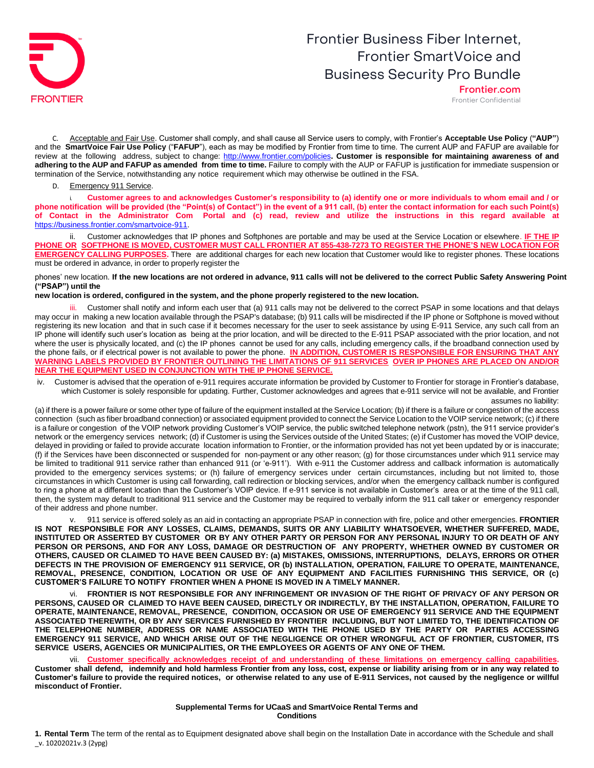

Frontier.com Frontier Confidential

C. Acceptable and Fair Use. Customer shall comply, and shall cause all Service users to comply, with Frontier's **Acceptable Use Policy** (**"AUP"**) and the **SmartVoice Fair Use Policy** ("**FAFUP**"), each as may be modified by Frontier from time to time. The current AUP and FAFUP are available for review at the following address, subject to change: <http://www.frontier.com/policies>**. Customer is responsible for maintaining awareness of and adhering to the AUP and FAFUP as amended from time to time.** Failure to comply with the AUP or FAFUP is justification for immediate suspension or termination of the Service, notwithstanding any notice requirement which may otherwise be outlined in the FSA.

D. Emergency 911 Service.

Customer agrees to and acknowledges Customer's responsibility to (a) identify one or more individuals to whom email and / or **phone notification will be provided (the "Point(s) of Contact") in the event of a 911 call, (b) enter the contact information for each such Point(s) of Contact in the Administrator Com Portal and (c) read, review and utilize the instructions in this regard available at** [https://business.frontier.com/smartvoice-911.](https://nam02.safelinks.protection.outlook.com/?url=https%3A%2F%2Fbusiness.frontier.com%2Fsmartvoice%2F911&data=04%7C01%7CDanielle.Evirgen%40ftr.com%7Cb8107e7ac24f46b30f8d08d995912f6a%7C5fe198e9aa7c45d29da74fbbeb5d542e%7C0%7C0%7C637705273055993129%7CUnknown%7CTWFpbGZsb3d8eyJWIjoiMC4wLjAwMDAiLCJQIjoiV2luMzIiLCJBTiI6Ik1haWwiLCJXVCI6Mn0%3D%7C1000&sdata=ePZSl48gcqMzDXTwMG0e8Uu%2Fim7%2BnrYqnkahsvWMvPY%3D&reserved=0)

ii. Customer acknowledges that IP phones and Softphones are portable and may be used at the Service Location or elsewhere. **IF THE IP**  PHONE OR SOFTPHONE IS MOVED, CUSTOMER MUST CALL FRONTIER AT 855-438-7273 TO REGISTER THE PHONE'S NEW LOCATION FOR **EMERGENCY CALLING PURPOSES.** There are additional charges for each new location that Customer would like to register phones. These locations must be ordered in advance, in order to properly register the

phones' new location. If the new locations are not ordered in advance, 911 calls will not be delivered to the correct Public Safety Answering Point **("PSAP") until the**

**new location is ordered, configured in the system, and the phone properly registered to the new location.**

Customer shall notify and inform each user that (a) 911 calls may not be delivered to the correct PSAP in some locations and that delays may occur in making a new location available through the PSAP's database; (b) 911 calls will be misdirected if the IP phone or Softphone is moved without registering its new location and that in such case if it becomes necessary for the user to seek assistance by using E-911 Service, any such call from an IP phone will identify such user's location as being at the prior location, and will be directed to the E-911 PSAP associated with the prior location, and not where the user is physically located, and (c) the IP phones cannot be used for any calls, including emergency calls, if the broadband connection used by the phone fails, or if electrical power is not available to power the phone. **IN ADDITION, CUSTOMER IS RESPONSIBLE FOR ENSURING THAT ANY WARNING LABELS PROVIDED BY FRONTIER OUTLINING THE LIMITATIONS OF 911 SERVICES OVER IP PHONES ARE PLACED ON AND/OR NEAR THE EQUIPMENT USED IN CONJUNCTION WITH THE IP PHONE SERVICE.**

iv. Customer is advised that the operation of e-911 requires accurate information be provided by Customer to Frontier for storage in Frontier's database, which Customer is solely responsible for updating. Further, Customer acknowledges and agrees that e-911 service will not be available, and Frontier assumes no liability:

(a) if there is a power failure or some other type of failure of the equipment installed at the Service Location; (b) if there is a failure or congestion of the access connection (such as fiber broadband connection) or associated equipment provided to connect the Service Location to the VOIP service network; (c) if there is a failure or congestion of the VOIP network providing Customer's VOIP service, the public switched telephone network (pstn), the 911 service provider's network or the emergency services network; (d) if Customer is using the Services outside of the United States; (e) if Customer has moved the VOIP device, delayed in providing or failed to provide accurate location information to Frontier, or the information provided has not yet been updated by or is inaccurate; (f) if the Services have been disconnected or suspended for non-payment or any other reason; (g) for those circumstances under which 911 service may be limited to traditional 911 service rather than enhanced 911 (or 'e-911'). With e-911 the Customer address and callback information is automatically provided to the emergency services systems; or (h) failure of emergency services under certain circumstances, including but not limited to, those circumstances in which Customer is using call forwarding, call redirection or blocking services, and/or when the emergency callback number is configured to ring a phone at a different location than the Customer's VOIP device. If e-911 service is not available in Customer's area or at the time of the 911 call, then, the system may default to traditional 911 service and the Customer may be required to verbally inform the 911 call taker or emergency responder of their address and phone number.

v. 911 service is offered solely as an aid in contacting an appropriate PSAP in connection with fire, police and other emergencies. **FRONTIER IS NOT RESPONSIBLE FOR ANY LOSSES, CLAIMS, DEMANDS, SUITS OR ANY LIABILITY WHATSOEVER, WHETHER SUFFERED, MADE,** INSTITUTED OR ASSERTED BY CUSTOMER OR BY ANY OTHER PARTY OR PERSON FOR ANY PERSONAL INJURY TO OR DEATH OF ANY **PERSON OR PERSONS, AND FOR ANY LOSS, DAMAGE OR DESTRUCTION OF ANY PROPERTY, WHETHER OWNED BY CUSTOMER OR OTHERS, CAUSED OR CLAIMED TO HAVE BEEN CAUSED BY: (a) MISTAKES, OMISSIONS, INTERRUPTIONS, DELAYS, ERRORS OR OTHER DEFECTS IN THE PROVISION OF EMERGENCY 911 SERVICE, OR (b) INSTALLATION, OPERATION, FAILURE TO OPERATE, MAINTENANCE, REMOVAL, PRESENCE, CONDITION, LOCATION OR USE OF ANY EQUIPMENT AND FACILITIES FURNISHING THIS SERVICE, OR (c) CUSTOMER'S FAILURE TO NOTIFY FRONTIER WHEN A PHONE IS MOVED IN A TIMELY MANNER.**

vi. **FRONTIER IS NOT RESPONSIBLE FOR ANY INFRINGEMENT OR INVASION OF THE RIGHT OF PRIVACY OF ANY PERSON OR PERSONS, CAUSED OR CLAIMED TO HAVE BEEN CAUSED, DIRECTLY OR INDIRECTLY, BY THE INSTALLATION, OPERATION, FAILURE TO OPERATE, MAINTENANCE, REMOVAL, PRESENCE, CONDITION, OCCASION OR USE OF EMERGENCY 911 SERVICE AND THE EQUIPMENT ASSOCIATED THEREWITH, OR BY ANY SERVICES FURNISHED BY FRONTIER INCLUDING, BUT NOT LIMITED TO, THE IDENTIFICATION OF THE TELEPHONE NUMBER, ADDRESS OR NAME ASSOCIATED WITH THE PHONE USED BY THE PARTY OR PARTIES ACCESSING EMERGENCY 911 SERVICE, AND WHICH ARISE OUT OF THE NEGLIGENCE OR OTHER WRONGFUL ACT OF FRONTIER, CUSTOMER, ITS SERVICE USERS, AGENCIES OR MUNICIPALITIES, OR THE EMPLOYEES OR AGENTS OF ANY ONE OF THEM.**

Customer specifically acknowledges receipt of and understanding of these limitations on emergency calling capabilities. Customer shall defend, indemnify and hold harmless Frontier from any loss, cost, expense or liability arising from or in any way related to **Customer's failure to provide the required notices, or otherwise related to any use of E-911 Services, not caused by the negligence or willful misconduct of Frontier.**

#### **Supplemental Terms for UCaaS and SmartVoice Rental Terms and Conditions**

\_v. 10202021v.3 (2ypg) **1. Rental Term** The term of the rental as to Equipment designated above shall begin on the Installation Date in accordance with the Schedule and shall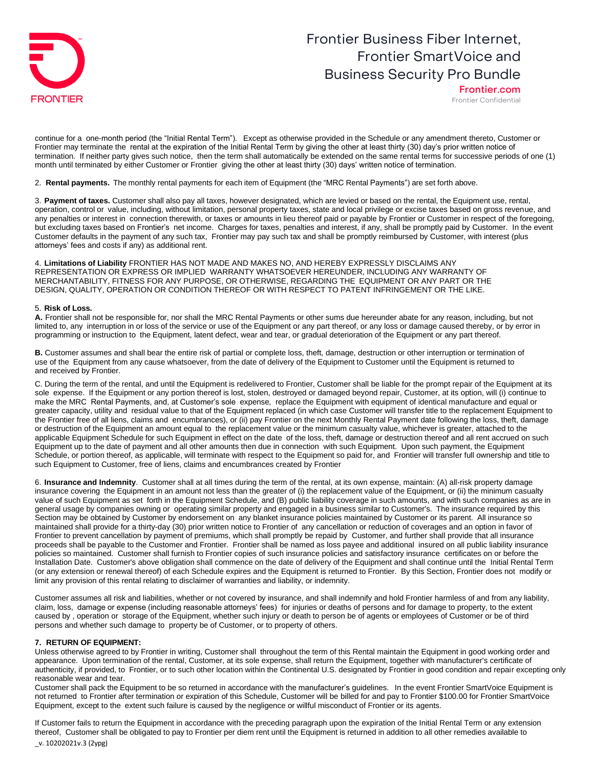

Frontier.com Frontier Confidential

continue for a one-month period (the "Initial Rental Term"). Except as otherwise provided in the Schedule or any amendment thereto, Customer or Frontier may terminate the rental at the expiration of the Initial Rental Term by giving the other at least thirty (30) day's prior written notice of termination. If neither party gives such notice, then the term shall automatically be extended on the same rental terms for successive periods of one (1) month until terminated by either Customer or Frontier giving the other at least thirty (30) days' written notice of termination.

2. **Rental payments.** The monthly rental payments for each item of Equipment (the "MRC Rental Payments") are set forth above.

3. **Payment of taxes.** Customer shall also pay all taxes, however designated, which are levied or based on the rental, the Equipment use, rental, operation, control or value, including, without limitation, personal property taxes, state and local privilege or excise taxes based on gross revenue, and any penalties or interest in connection therewith, or taxes or amounts in lieu thereof paid or payable by Frontier or Customer in respect of the foregoing, but excluding taxes based on Frontier's net income. Charges for taxes, penalties and interest, if any, shall be promptly paid by Customer. In the event Customer defaults in the payment of any such tax, Frontier may pay such tax and shall be promptly reimbursed by Customer, with interest (plus attorneys' fees and costs if any) as additional rent.

4. **Limitations of Liability** FRONTIER HAS NOT MADE AND MAKES NO, AND HEREBY EXPRESSLY DISCLAIMS ANY REPRESENTATION OR EXPRESS OR IMPLIED WARRANTY WHATSOEVER HEREUNDER, INCLUDING ANY WARRANTY OF MERCHANTABILITY, FITNESS FOR ANY PURPOSE, OR OTHERWISE, REGARDING THE EQUIPMENT OR ANY PART OR THE DESIGN, QUALITY, OPERATION OR CONDITION THEREOF OR WITH RESPECT TO PATENT INFRINGEMENT OR THE LIKE.

#### 5. **Risk of Loss.**

**A.** Frontier shall not be responsible for, nor shall the MRC Rental Payments or other sums due hereunder abate for any reason, including, but not limited to, any interruption in or loss of the service or use of the Equipment or any part thereof, or any loss or damage caused thereby, or by error in programming or instruction to the Equipment, latent defect, wear and tear, or gradual deterioration of the Equipment or any part thereof.

**B.** Customer assumes and shall bear the entire risk of partial or complete loss, theft, damage, destruction or other interruption or termination of use of the Equipment from any cause whatsoever, from the date of delivery of the Equipment to Customer until the Equipment is returned to and received by Frontier.

C. During the term of the rental, and until the Equipment is redelivered to Frontier, Customer shall be liable for the prompt repair of the Equipment at its sole expense. If the Equipment or any portion thereof is lost, stolen, destroyed or damaged beyond repair, Customer, at its option, will (i) continue to make the MRC Rental Payments, and, at Customer's sole expense, replace the Equipment with equipment of identical manufacture and equal or greater capacity, utility and residual value to that of the Equipment replaced (in which case Customer will transfer title to the replacement Equipment to the Frontier free of all liens, claims and encumbrances), or (ii) pay Frontier on the next Monthly Rental Payment date following the loss, theft, damage or destruction of the Equipment an amount equal to the replacement value or the minimum casualty value, whichever is greater, attached to the applicable Equipment Schedule for such Equipment in effect on the date of the loss, theft, damage or destruction thereof and all rent accrued on such Equipment up to the date of payment and all other amounts then due in connection with such Equipment. Upon such payment, the Equipment Schedule, or portion thereof, as applicable, will terminate with respect to the Equipment so paid for, and Frontier will transfer full ownership and title to such Equipment to Customer, free of liens, claims and encumbrances created by Frontier

6. **Insurance and Indemnity**. Customer shall at all times during the term of the rental, at its own expense, maintain: (A) all-risk property damage insurance covering the Equipment in an amount not less than the greater of (i) the replacement value of the Equipment, or (ii) the minimum casualty value of such Equipment as set forth in the Equipment Schedule, and (B) public liability coverage in such amounts, and with such companies as are in general usage by companies owning or operating similar property and engaged in a business similar to Customer's. The insurance required by this Section may be obtained by Customer by endorsement on any blanket insurance policies maintained by Customer or its parent. All insurance so maintained shall provide for a thirty-day (30) prior written notice to Frontier of any cancellation or reduction of coverages and an option in favor of Frontier to prevent cancellation by payment of premiums, which shall promptly be repaid by Customer, and further shall provide that all insurance proceeds shall be payable to the Customer and Frontier. Frontier shall be named as loss payee and additional insured on all public liability insurance policies so maintained. Customer shall furnish to Frontier copies of such insurance policies and satisfactory insurance certificates on or before the Installation Date. Customer's above obligation shall commence on the date of delivery of the Equipment and shall continue until the Initial Rental Term (or any extension or renewal thereof) of each Schedule expires and the Equipment is returned to Frontier. By this Section, Frontier does not modify or limit any provision of this rental relating to disclaimer of warranties and liability, or indemnity.

Customer assumes all risk and liabilities, whether or not covered by insurance, and shall indemnify and hold Frontier harmless of and from any liability, claim, loss, damage or expense (including reasonable attorneys' fees) for injuries or deaths of persons and for damage to property, to the extent caused by , operation or storage of the Equipment, whether such injury or death to person be of agents or employees of Customer or be of third persons and whether such damage to property be of Customer, or to property of others.

#### **7. RETURN OF EQUIPMENT:**

Unless otherwise agreed to by Frontier in writing, Customer shall throughout the term of this Rental maintain the Equipment in good working order and appearance. Upon termination of the rental, Customer, at its sole expense, shall return the Equipment, together with manufacturer's certificate of authenticity, if provided, to Frontier, or to such other location within the Continental U.S. designated by Frontier in good condition and repair excepting only reasonable wear and tear.

Customer shall pack the Equipment to be so returned in accordance with the manufacturer's guidelines. In the event Frontier SmartVoice Equipment is not returned to Frontier after termination or expiration of this Schedule, Customer will be billed for and pay to Frontier \$100.00 for Frontier SmartVoice Equipment, except to the extent such failure is caused by the negligence or willful misconduct of Frontier or its agents.

\_v. 10202021v.3 (2ypg) If Customer fails to return the Equipment in accordance with the preceding paragraph upon the expiration of the Initial Rental Term or any extension thereof, Customer shall be obligated to pay to Frontier per diem rent until the Equipment is returned in addition to all other remedies available to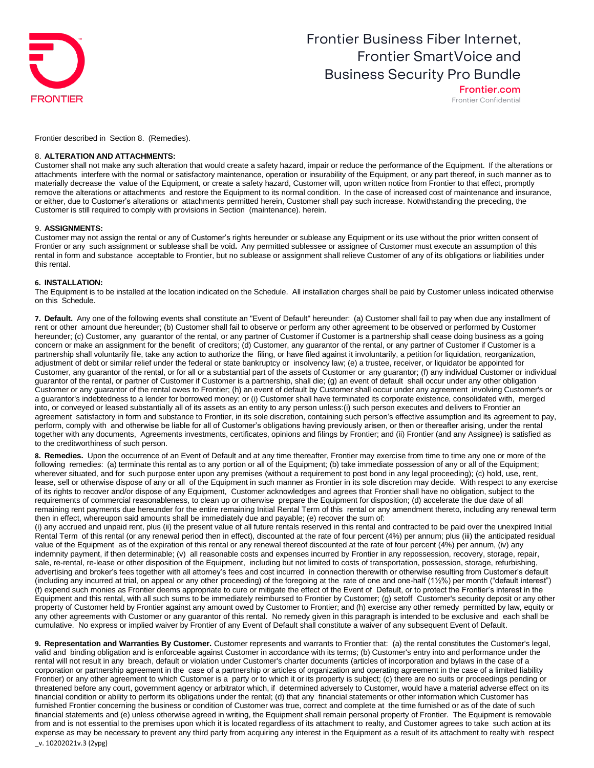

Frontier.com Frontier Confidential

Frontier described in Section 8. (Remedies).

#### 8. **ALTERATION AND ATTACHMENTS:**

Customer shall not make any such alteration that would create a safety hazard, impair or reduce the performance of the Equipment. If the alterations or attachments interfere with the normal or satisfactory maintenance, operation or insurability of the Equipment, or any part thereof, in such manner as to materially decrease the value of the Equipment, or create a safety hazard, Customer will, upon written notice from Frontier to that effect, promptly remove the alterations or attachments and restore the Equipment to its normal condition. In the case of increased cost of maintenance and insurance, or either, due to Customer's alterations or attachments permitted herein, Customer shall pay such increase. Notwithstanding the preceding, the Customer is still required to comply with provisions in Section (maintenance). herein.

#### 9. **ASSIGNMENTS:**

Customer may not assign the rental or any of Customer's rights hereunder or sublease any Equipment or its use without the prior written consent of Frontier or any such assignment or sublease shall be void**.** Any permitted sublessee or assignee of Customer must execute an assumption of this rental in form and substance acceptable to Frontier, but no sublease or assignment shall relieve Customer of any of its obligations or liabilities under this rental.

#### **6. INSTALLATION:**

The Equipment is to be installed at the location indicated on the Schedule. All installation charges shall be paid by Customer unless indicated otherwise on this Schedule.

**7. Default.** Any one of the following events shall constitute an "Event of Default" hereunder: (a) Customer shall fail to pay when due any installment of rent or other amount due hereunder; (b) Customer shall fail to observe or perform any other agreement to be observed or performed by Customer hereunder; (c) Customer, any guarantor of the rental, or any partner of Customer if Customer is a partnership shall cease doing business as a going concern or make an assignment for the benefit of creditors; (d) Customer, any guarantor of the rental, or any partner of Customer if Customer is a partnership shall voluntarily file, take any action to authorize the filing, or have filed against it involuntarily, a petition for liquidation, reorganization, adjustment of debt or similar relief under the federal or state bankruptcy or insolvency law; (e) a trustee, receiver, or liquidator be appointed for Customer, any guarantor of the rental, or for all or a substantial part of the assets of Customer or any guarantor; (f) any individual Customer or individual guarantor of the rental, or partner of Customer if Customer is a partnership, shall die; (g) an event of default shall occur under any other obligation Customer or any guarantor of the rental owes to Frontier; (h) an event of default by Customer shall occur under any agreement involving Customer's or a guarantor's indebtedness to a lender for borrowed money; or (i) Customer shall have terminated its corporate existence, consolidated with, merged into, or conveyed or leased substantially all of its assets as an entity to any person unless:(i) such person executes and delivers to Frontier an agreement satisfactory in form and substance to Frontier, in its sole discretion, containing such person's effective assumption and its agreement to pay, perform, comply with and otherwise be liable for all of Customer's obligations having previously arisen, or then or thereafter arising, under the rental together with any documents, Agreements investments, certificates, opinions and filings by Frontier; and (ii) Frontier (and any Assignee) is satisfied as to the creditworthiness of such person.

**8. Remedies.** Upon the occurrence of an Event of Default and at any time thereafter, Frontier may exercise from time to time any one or more of the following remedies: (a) terminate this rental as to any portion or all of the Equipment; (b) take immediate possession of any or all of the Equipment; wherever situated, and for such purpose enter upon any premises (without a requirement to post bond in any legal proceeding); (c) hold, use, rent, lease, sell or otherwise dispose of any or all of the Equipment in such manner as Frontier in its sole discretion may decide. With respect to any exercise of its rights to recover and/or dispose of any Equipment, Customer acknowledges and agrees that Frontier shall have no obligation, subject to the requirements of commercial reasonableness, to clean up or otherwise prepare the Equipment for disposition; (d) accelerate the due date of all remaining rent payments due hereunder for the entire remaining Initial Rental Term of this rental or any amendment thereto, including any renewal term then in effect, whereupon said amounts shall be immediately due and payable; (e) recover the sum of:

(i) any accrued and unpaid rent, plus (ii) the present value of all future rentals reserved in this rental and contracted to be paid over the unexpired Initial Rental Term of this rental (or any renewal period then in effect), discounted at the rate of four percent (4%) per annum; plus (iii) the anticipated residual value of the Equipment as of the expiration of this rental or any renewal thereof discounted at the rate of four percent (4%) per annum, (iv) any indemnity payment, if then determinable; (v) all reasonable costs and expenses incurred by Frontier in any repossession, recovery, storage, repair, sale, re-rental, re-lease or other disposition of the Equipment, including but not limited to costs of transportation, possession, storage, refurbishing, advertising and broker's fees together with all attorney's fees and cost incurred in connection therewith or otherwise resulting from Customer's default (including any incurred at trial, on appeal or any other proceeding) of the foregoing at the rate of one and one-half (1½%) per month ("default interest") (f) expend such monies as Frontier deems appropriate to cure or mitigate the effect of the Event of Default, or to protect the Frontier's interest in the Equipment and this rental, with all such sums to be immediately reimbursed to Frontier by Customer; (g) setoff Customer's security deposit or any other property of Customer held by Frontier against any amount owed by Customer to Frontier; and (h) exercise any other remedy permitted by law, equity or any other agreements with Customer or any guarantor of this rental. No remedy given in this paragraph is intended to be exclusive and each shall be cumulative. No express or implied waiver by Frontier of any Event of Default shall constitute a waiver of any subsequent Event of Default.

\_v. 10202021v.3 (2ypg) **9. Representation and Warranties By Customer.** Customer represents and warrants to Frontier that: (a) the rental constitutes the Customer's legal, valid and binding obligation and is enforceable against Customer in accordance with its terms; (b) Customer's entry into and performance under the rental will not result in any breach, default or violation under Customer's charter documents (articles of incorporation and bylaws in the case of a corporation or partnership agreement in the case of a partnership or articles of organization and operating agreement in the case of a limited liability Frontier) or any other agreement to which Customer is a party or to which it or its property is subject; (c) there are no suits or proceedings pending or threatened before any court, government agency or arbitrator which, if determined adversely to Customer, would have a material adverse effect on its financial condition or ability to perform its obligations under the rental; (d) that any financial statements or other information which Customer has furnished Frontier concerning the business or condition of Customer was true, correct and complete at the time furnished or as of the date of such financial statements and (e) unless otherwise agreed in writing, the Equipment shall remain personal property of Frontier. The Equipment is removable from and is not essential to the premises upon which it is located regardless of its attachment to realty, and Customer agrees to take such action at its expense as may be necessary to prevent any third party from acquiring any interest in the Equipment as a result of its attachment to realty with respect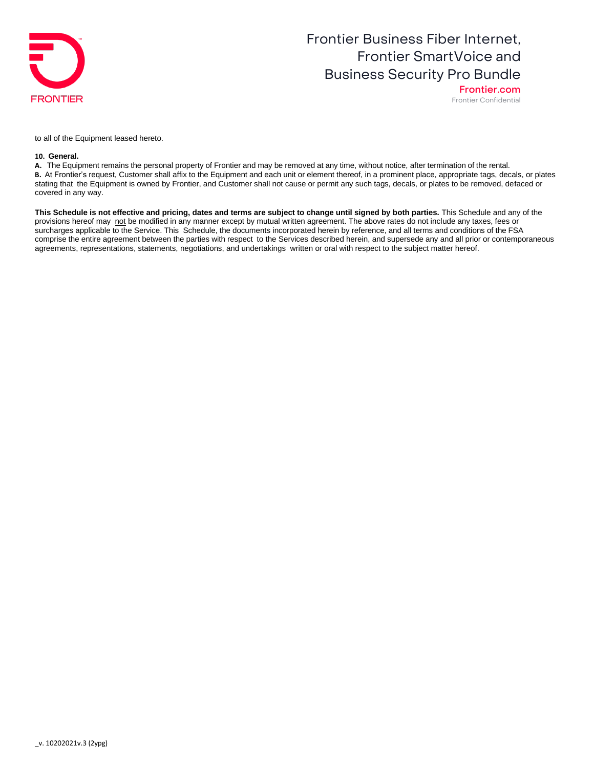

Frontier.com Frontier Confidential

to all of the Equipment leased hereto.

#### **10. General.**

**A.** The Equipment remains the personal property of Frontier and may be removed at any time, without notice, after termination of the rental. **B.** At Frontier's request, Customer shall affix to the Equipment and each unit or element thereof, in a prominent place, appropriate tags, decals, or plates stating that the Equipment is owned by Frontier, and Customer shall not cause or permit any such tags, decals, or plates to be removed, defaced or covered in any way.

**This Schedule is not effective and pricing, dates and terms are subject to change until signed by both parties.** This Schedule and any of the provisions hereof may not be modified in any manner except by mutual written agreement. The above rates do not include any taxes, fees or surcharges applicable to the Service. This Schedule, the documents incorporated herein by reference, and all terms and conditions of the FSA comprise the entire agreement between the parties with respect to the Services described herein, and supersede any and all prior or contemporaneous agreements, representations, statements, negotiations, and undertakings written or oral with respect to the subject matter hereof.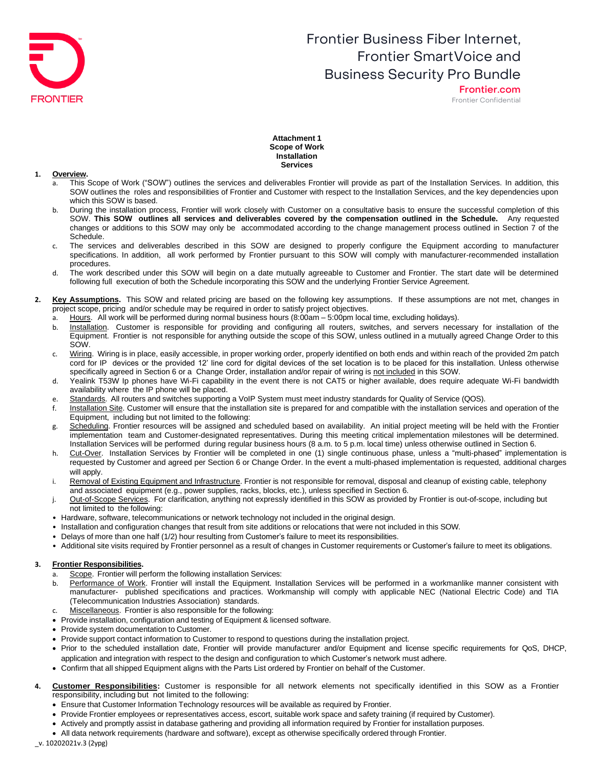

Frontier.com Frontier Confidential

### **Attachment 1 Scope of Work Installation Services**

#### **1. Overview.**

- a. This Scope of Work ("SOW") outlines the services and deliverables Frontier will provide as part of the Installation Services. In addition, this SOW outlines the roles and responsibilities of Frontier and Customer with respect to the Installation Services, and the key dependencies upon which this SOW is based.
- b. During the installation process, Frontier will work closely with Customer on a consultative basis to ensure the successful completion of this SOW. **This SOW outlines all services and deliverables covered by the compensation outlined in the Schedule.** Any requested changes or additions to this SOW may only be accommodated according to the change management process outlined in Section 7 of the Schedule.
- c. The services and deliverables described in this SOW are designed to properly configure the Equipment according to manufacturer specifications. In addition, all work performed by Frontier pursuant to this SOW will comply with manufacturer-recommended installation procedures.
- d. The work described under this SOW will begin on a date mutually agreeable to Customer and Frontier. The start date will be determined following full execution of both the Schedule incorporating this SOW and the underlying Frontier Service Agreement.
- **2. Key Assumptions.** This SOW and related pricing are based on the following key assumptions. If these assumptions are not met, changes in project scope, pricing and/or schedule may be required in order to satisfy project objectives.
	- a. Hours. All work will be performed during normal business hours (8:00am 5:00pm local time, excluding holidays).
	- b. Installation. Customer is responsible for providing and configuring all routers, switches, and servers necessary for installation of the Equipment. Frontier is not responsible for anything outside the scope of this SOW, unless outlined in a mutually agreed Change Order to this SOW.
	- c. Wiring. Wiring is in place, easily accessible, in proper working order, properly identified on both ends and within reach of the provided 2m patch cord for IP devices or the provided 12' line cord for digital devices of the set location is to be placed for this installation. Unless otherwise specifically agreed in Section 6 or a Change Order, installation and/or repair of wiring is not included in this SOW.
	- d. Yealink T53W Ip phones have Wi-Fi capability in the event there is not CAT5 or higher available, does require adequate Wi-Fi bandwidth availability where the IP phone will be placed.
	- e. Standards. All routers and switches supporting a VoIP System must meet industry standards for Quality of Service (QOS).
	- f. Installation Site. Customer will ensure that the installation site is prepared for and compatible with the installation services and operation of the Equipment, including but not limited to the following:
	- g. Scheduling. Frontier resources will be assigned and scheduled based on availability. An initial project meeting will be held with the Frontier implementation team and Customer-designated representatives. During this meeting critical implementation milestones will be determined. Installation Services will be performed during regular business hours (8 a.m. to 5 p.m. local time) unless otherwise outlined in Section 6.
	- h. Cut-Over. Installation Services by Frontier will be completed in one (1) single continuous phase, unless a "multi-phased" implementation is requested by Customer and agreed per Section 6 or Change Order. In the event a multi-phased implementation is requested, additional charges will apply.
	- i. Removal of Existing Equipment and Infrastructure. Frontier is not responsible for removal, disposal and cleanup of existing cable, telephony and associated equipment (e.g., power supplies, racks, blocks, etc.), unless specified in Section 6.
	- j. Out-of-Scope Services. For clarification, anything not expressly identified in this SOW as provided by Frontier is out-of-scope, including but not limited to the following:
	- Hardware, software, telecommunications or network technology not included in the original design.
	- Installation and configuration changes that result from site additions or relocations that were not included in this SOW.
	- Delays of more than one half (1/2) hour resulting from Customer's failure to meet its responsibilities.
	- Additional site visits required by Frontier personnel as a result of changes in Customer requirements or Customer's failure to meet its obligations.

### **3. Frontier Responsibilities.**

- a. Scope. Frontier will perform the following installation Services:
- b. Performance of Work. Frontier will install the Equipment. Installation Services will be performed in a workmanlike manner consistent with manufacturer- published specifications and practices. Workmanship will comply with applicable NEC (National Electric Code) and TIA (Telecommunication Industries Association) standards.
- c. Miscellaneous. Frontier is also responsible for the following:
- Provide installation, configuration and testing of Equipment & licensed software.
- Provide system documentation to Customer.
- Provide support contact information to Customer to respond to questions during the installation project.
- Prior to the scheduled installation date, Frontier will provide manufacturer and/or Equipment and license specific requirements for QoS, DHCP, application and integration with respect to the design and configuration to which Customer's network must adhere.
- Confirm that all shipped Equipment aligns with the Parts List ordered by Frontier on behalf of the Customer.
- **4. Customer Responsibilities:** Customer is responsible for all network elements not specifically identified in this SOW as a Frontier responsibility, including but not limited to the following:
	- Ensure that Customer Information Technology resources will be available as required by Frontier.
	- Provide Frontier employees or representatives access, escort, suitable work space and safety training (if required by Customer).
	- Actively and promptly assist in database gathering and providing all information required by Frontier for installation purposes.
	- All data network requirements (hardware and software), except as otherwise specifically ordered through Frontier.

\_v. 10202021v.3 (2ypg)